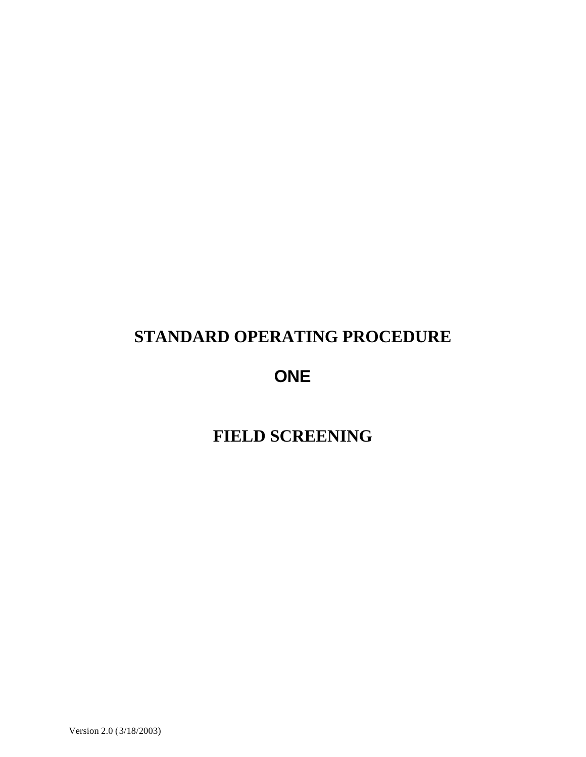# **STANDARD OPERATING PROCEDURE**

**ONE**

**FIELD SCREENING**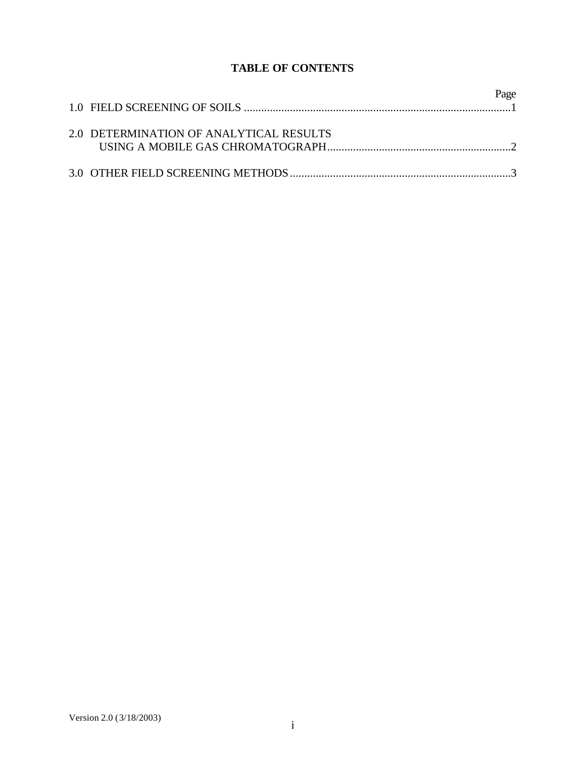# **TABLE OF CONTENTS**

|                                         | Page |
|-----------------------------------------|------|
| 2.0 DETERMINATION OF ANALYTICAL RESULTS |      |
|                                         |      |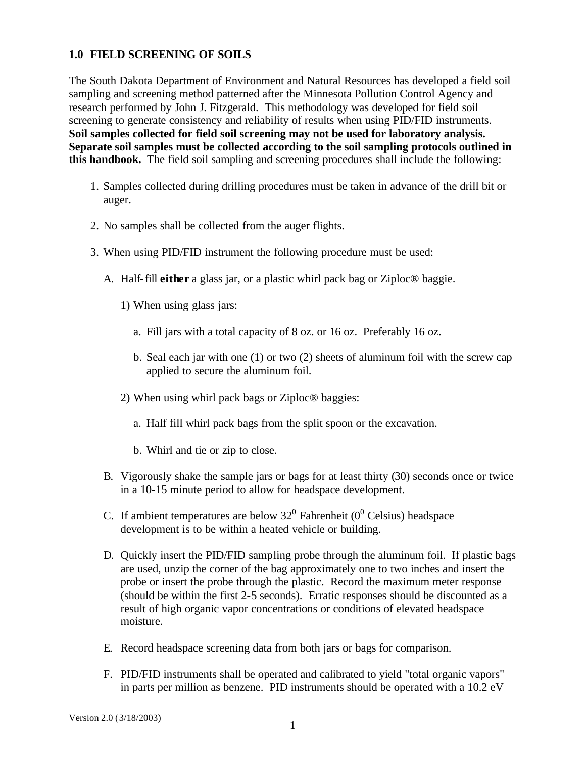## **1.0 FIELD SCREENING OF SOILS**

The South Dakota Department of Environment and Natural Resources has developed a field soil sampling and screening method patterned after the Minnesota Pollution Control Agency and research performed by John J. Fitzgerald. This methodology was developed for field soil screening to generate consistency and reliability of results when using PID/FID instruments. **Soil samples collected for field soil screening may not be used for laboratory analysis. Separate soil samples must be collected according to the soil sampling protocols outlined in this handbook.** The field soil sampling and screening procedures shall include the following:

- 1. Samples collected during drilling procedures must be taken in advance of the drill bit or auger.
- 2. No samples shall be collected from the auger flights.
- 3. When using PID/FID instrument the following procedure must be used:
	- A. Half-fill **either** a glass jar, or a plastic whirl pack bag or Ziploc® baggie.
		- 1) When using glass jars:
			- a. Fill jars with a total capacity of 8 oz. or 16 oz. Preferably 16 oz.
			- b. Seal each jar with one (1) or two (2) sheets of aluminum foil with the screw cap applied to secure the aluminum foil.
		- 2) When using whirl pack bags or Ziploc® baggies:
			- a. Half fill whirl pack bags from the split spoon or the excavation.
			- b. Whirl and tie or zip to close.
	- B. Vigorously shake the sample jars or bags for at least thirty (30) seconds once or twice in a 10-15 minute period to allow for headspace development.
	- C. If ambient temperatures are below  $32^0$  Fahrenheit (0<sup>0</sup> Celsius) headspace development is to be within a heated vehicle or building.
	- D. Quickly insert the PID/FID sampling probe through the aluminum foil. If plastic bags are used, unzip the corner of the bag approximately one to two inches and insert the probe or insert the probe through the plastic. Record the maximum meter response (should be within the first 2-5 seconds). Erratic responses should be discounted as a result of high organic vapor concentrations or conditions of elevated headspace moisture.
	- E. Record headspace screening data from both jars or bags for comparison.
	- F. PID/FID instruments shall be operated and calibrated to yield "total organic vapors" in parts per million as benzene. PID instruments should be operated with a 10.2 eV